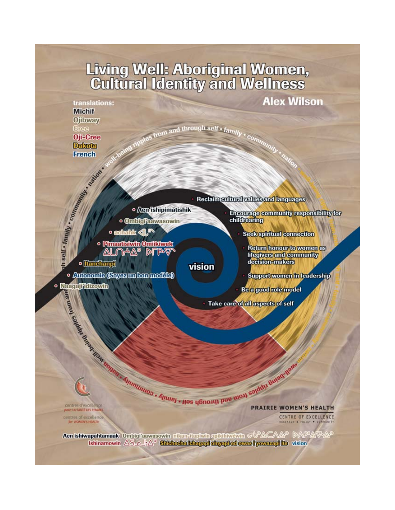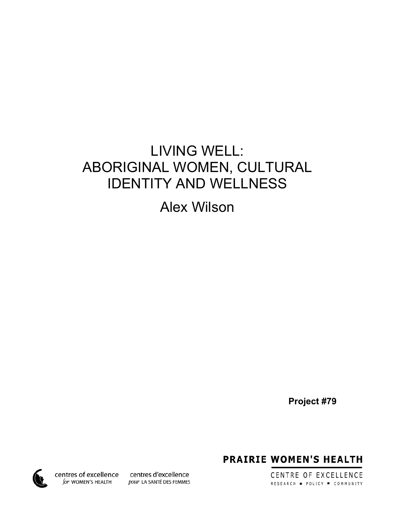## LIVING WELL: ABORIGINAL WOMEN, CULTURAL IDENTITY AND WELLNESS

Alex Wilson

**Project #79**

**PRAIRIE WOMEN'S HEALTH** 

CENTRE OF EXCELLENCE RESEARCH . POLICY . COMMUNITY

centres of excellence for WOMEN'S HEALTH

centres d'excellence pour LA SANTÉ DES FEMMES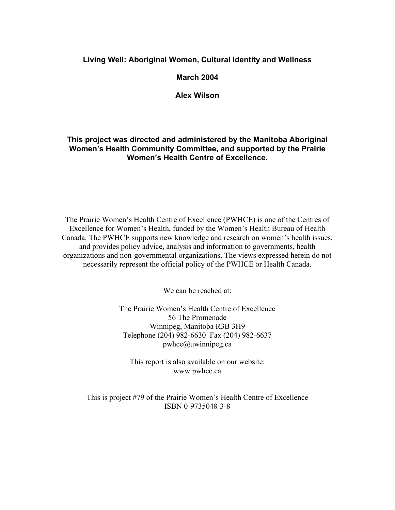### **Living Well: Aboriginal Women, Cultural Identity and Wellness**

#### **March 2004**

**Alex Wilson**

### **This project was directed and administered by the Manitoba Aboriginal Women's Health Community Committee, and supported by the Prairie Women's Health Centre of Excellence.**

The Prairie Women's Health Centre of Excellence (PWHCE) is one of the Centres of Excellence for Women's Health, funded by the Women's Health Bureau of Health Canada. The PWHCE supports new knowledge and research on women's health issues; and provides policy advice, analysis and information to governments, health organizations and non-governmental organizations. The views expressed herein do not necessarily represent the official policy of the PWHCE or Health Canada.

We can be reached at:

The Prairie Women's Health Centre of Excellence 56 The Promenade Winnipeg, Manitoba R3B 3H9 Telephone (204) 982-6630 Fax (204) 982-6637 pwhce@uwinnipeg.ca

This report is also available on our website: www.pwhce.ca

This is project #79 of the Prairie Women's Health Centre of Excellence ISBN 0-9735048-3-8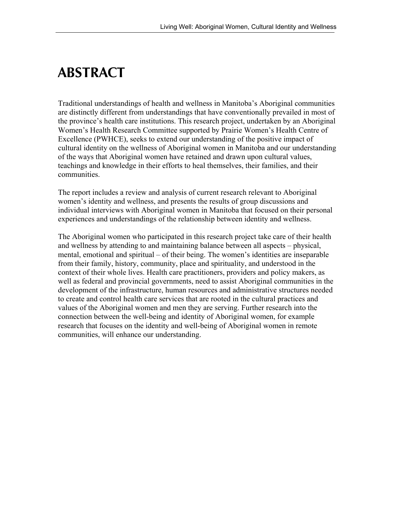## **ABSTRACT**

Traditional understandings of health and wellness in Manitoba's Aboriginal communities are distinctly different from understandings that have conventionally prevailed in most of the province's health care institutions. This research project, undertaken by an Aboriginal Women's Health Research Committee supported by Prairie Women's Health Centre of Excellence (PWHCE), seeks to extend our understanding of the positive impact of cultural identity on the wellness of Aboriginal women in Manitoba and our understanding of the ways that Aboriginal women have retained and drawn upon cultural values, teachings and knowledge in their efforts to heal themselves, their families, and their communities.

The report includes a review and analysis of current research relevant to Aboriginal women's identity and wellness, and presents the results of group discussions and individual interviews with Aboriginal women in Manitoba that focused on their personal experiences and understandings of the relationship between identity and wellness.

The Aboriginal women who participated in this research project take care of their health and wellness by attending to and maintaining balance between all aspects – physical, mental, emotional and spiritual – of their being. The women's identities are inseparable from their family, history, community, place and spirituality, and understood in the context of their whole lives. Health care practitioners, providers and policy makers, as well as federal and provincial governments, need to assist Aboriginal communities in the development of the infrastructure, human resources and administrative structures needed to create and control health care services that are rooted in the cultural practices and values of the Aboriginal women and men they are serving. Further research into the connection between the well-being and identity of Aboriginal women, for example research that focuses on the identity and well-being of Aboriginal women in remote communities, will enhance our understanding.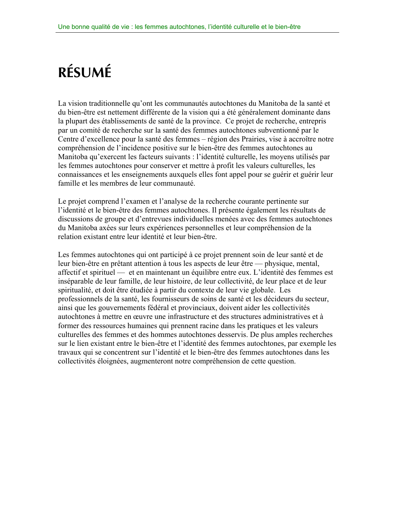# **RÉSUMÉ**

La vision traditionnelle qu'ont les communautés autochtones du Manitoba de la santé et du bien-être est nettement différente de la vision qui a été généralement dominante dans la plupart des établissements de santé de la province. Ce projet de recherche, entrepris par un comité de recherche sur la santé des femmes autochtones subventionné par le Centre d'excellence pour la santé des femmes – région des Prairies, vise à accroître notre compréhension de l'incidence positive sur le bien-être des femmes autochtones au Manitoba qu'exercent les facteurs suivants : l'identité culturelle, les moyens utilisés par les femmes autochtones pour conserver et mettre à profit les valeurs culturelles, les connaissances et les enseignements auxquels elles font appel pour se guérir et guérir leur famille et les membres de leur communauté.

Le projet comprend l'examen et l'analyse de la recherche courante pertinente sur l'identité et le bien-être des femmes autochtones. Il présente également les résultats de discussions de groupe et d'entrevues individuelles menées avec des femmes autochtones du Manitoba axées sur leurs expériences personnelles et leur compréhension de la relation existant entre leur identité et leur bien-être.

Les femmes autochtones qui ont participé à ce projet prennent soin de leur santé et de leur bien-être en prêtant attention à tous les aspects de leur être — physique, mental, affectif et spirituel — et en maintenant un équilibre entre eux. L'identité des femmes est inséparable de leur famille, de leur histoire, de leur collectivité, de leur place et de leur spiritualité, et doit être étudiée à partir du contexte de leur vie globale. Les professionnels de la santé, les fournisseurs de soins de santé et les décideurs du secteur, ainsi que les gouvernements fédéral et provinciaux, doivent aider les collectivités autochtones à mettre en œuvre une infrastructure et des structures administratives et à former des ressources humaines qui prennent racine dans les pratiques et les valeurs culturelles des femmes et des hommes autochtones desservis. De plus amples recherches sur le lien existant entre le bien-être et l'identité des femmes autochtones, par exemple les travaux qui se concentrent sur l'identité et le bien-être des femmes autochtones dans les collectivités éloignées, augmenteront notre compréhension de cette question.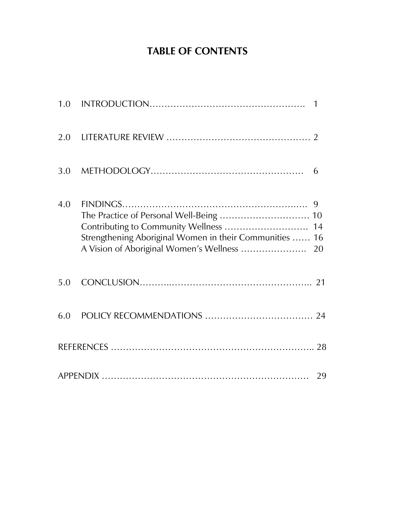### **TABLE OF CONTENTS**

| 4.0 | The Practice of Personal Well-Being  10<br>Contributing to Community Wellness  14<br>Strengthening Aboriginal Women in their Communities  16<br>A Vision of Aboriginal Women's Wellness  20 |  |
|-----|---------------------------------------------------------------------------------------------------------------------------------------------------------------------------------------------|--|
| 5.0 |                                                                                                                                                                                             |  |
|     |                                                                                                                                                                                             |  |
|     |                                                                                                                                                                                             |  |
|     |                                                                                                                                                                                             |  |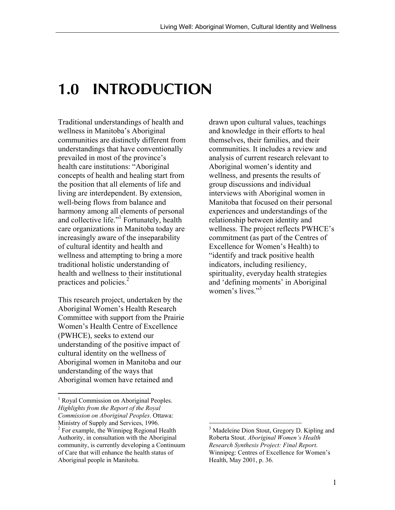## **1.0 INTRODUCTION**

Traditional understandings of health and wellness in Manitoba's Aboriginal communities are distinctly different from understandings that have conventionally prevailed in most of the province's health care institutions: "Aboriginal concepts of health and healing start from the position that all elements of life and living are interdependent. By extension, well-being flows from balance and harmony among all elements of personal and collective life."<sup>1</sup> Fortunately, health care organizations in Manitoba today are increasingly aware of the inseparability of cultural identity and health and wellness and attempting to bring a more traditional holistic understanding of health and wellness to their institutional practices and policies.<sup>2</sup>

This research project, undertaken by the Aboriginal Women's Health Research Committee with support from the Prairie Women's Health Centre of Excellence (PWHCE), seeks to extend our understanding of the positive impact of cultural identity on the wellness of Aboriginal women in Manitoba and our understanding of the ways that Aboriginal women have retained and

 $\overline{a}$ 

drawn upon cultural values, teachings and knowledge in their efforts to heal themselves, their families, and their communities. It includes a review and analysis of current research relevant to Aboriginal women's identity and wellness, and presents the results of group discussions and individual interviews with Aboriginal women in Manitoba that focused on their personal experiences and understandings of the relationship between identity and wellness. The project reflects PWHCE's commitment (as part of the Centres of Excellence for Women's Health) to "identify and track positive health indicators, including resiliency, spirituality, everyday health strategies and 'defining moments' in Aboriginal women's lives. $"$ <sup>3</sup>

<sup>&</sup>lt;sup>1</sup> Royal Commission on Aboriginal Peoples. *Highlights from the Report of the Royal Commission on Aboriginal Peoples*. Ottawa: Ministry of Supply and Services, 1996. <sup>2</sup> For example, the Winnipeg Regional Health

Authority, in consultation with the Aboriginal community, is currently developing a Continuum of Care that will enhance the health status of Aboriginal people in Manitoba.

<sup>&</sup>lt;sup>3</sup> Madeleine Dion Stout, Gregory D. Kipling and Roberta Stout. *Aboriginal Women's Health Research Synthesis Project: Final Report*. Winnipeg: Centres of Excellence for Women's Health, May 2001, p. 36.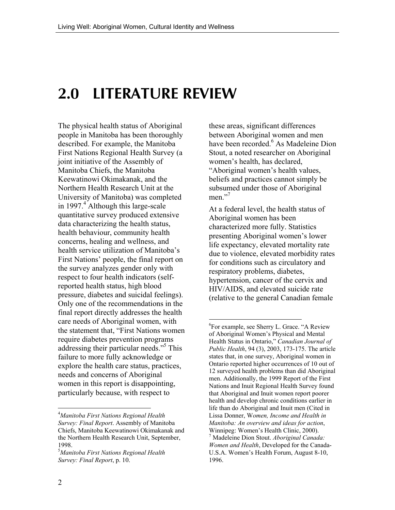## **2.0 LITERATURE REVIEW**

The physical health status of Aboriginal people in Manitoba has been thoroughly described. For example, the Manitoba First Nations Regional Health Survey (a joint initiative of the Assembly of Manitoba Chiefs, the Manitoba Keewatinowi Okimakanak, and the Northern Health Research Unit at the University of Manitoba) was completed in 1997.<sup>4</sup> Although this large-scale quantitative survey produced extensive data characterizing the health status, health behaviour, community health concerns, healing and wellness, and health service utilization of Manitoba's First Nations' people, the final report on the survey analyzes gender only with respect to four health indicators (selfreported health status, high blood pressure, diabetes and suicidal feelings). Only one of the recommendations in the final report directly addresses the health care needs of Aboriginal women, with the statement that, "First Nations women require diabetes prevention programs addressing their particular needs."<sup>5</sup> This failure to more fully acknowledge or explore the health care status, practices, needs and concerns of Aboriginal women in this report is disappointing, particularly because, with respect to

these areas, significant differences between Aboriginal women and men have been recorded.<sup>6</sup> As Madeleine Dion Stout, a noted researcher on Aboriginal women's health, has declared, "Aboriginal women's health values, beliefs and practices cannot simply be subsumed under those of Aboriginal men $^{7,7}$ 

At a federal level, the health status of Aboriginal women has been characterized more fully. Statistics presenting Aboriginal women's lower life expectancy, elevated mortality rate due to violence, elevated morbidity rates for conditions such as circulatory and respiratory problems, diabetes, hypertension, cancer of the cervix and HIV/AIDS, and elevated suicide rate (relative to the general Canadian female

 $\overline{a}$ 

<sup>4</sup> *Manitoba First Nations Regional Health Survey: Final Report*. Assembly of Manitoba Chiefs, Manitoba Keewatinowi Okimakanak and the Northern Health Research Unit, September, 1998.

<sup>5</sup> *Manitoba First Nations Regional Health Survey: Final Report*, p. 10.

<sup>6</sup> For example, see Sherry L. Grace. "A Review of Aboriginal Women's Physical and Mental Health Status in Ontario," *Canadian Journal of Public Health*, 94 (3), 2003, 173-175. The article states that, in one survey, Aboriginal women in Ontario reported higher occurrences of 10 out of 12 surveyed health problems than did Aboriginal men. Additionally, the 1999 Report of the First Nations and Inuit Regional Health Survey found that Aboriginal and Inuit women report poorer health and develop chronic conditions earlier in life than do Aboriginal and Inuit men (Cited in Lissa Donner, W*omen, Income and Health in Manitoba: An overview and ideas for action*, Winnipeg: Women's Health Clinic, 2000).

<sup>7</sup> Madeleine Dion Stout. *Aboriginal Canada: Women and Health*, Developed for the Canada-U.S.A. Women's Health Forum, August 8-10, 1996.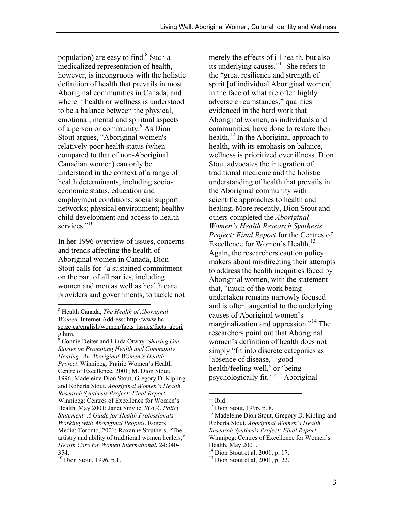population) are easy to find. $8$  Such a medicalized representation of health, however, is incongruous with the holistic definition of health that prevails in most Aboriginal communities in Canada, and wherein health or wellness is understood to be a balance between the physical, emotional, mental and spiritual aspects of a person or community.<sup>9</sup> As Dion Stout argues, "Aboriginal women's relatively poor health status (when compared to that of non-Aboriginal Canadian women) can only be understood in the context of a range of health determinants, including socioeconomic status, education and employment conditions; social support networks; physical environment; healthy child development and access to health services<sup>"10</sup>

In her 1996 overview of issues, concerns and trends affecting the health of Aboriginal women in Canada, Dion Stout calls for "a sustained commitment on the part of all parties, including women and men as well as health care providers and governments, to tackle not

merely the effects of ill health, but also its underlying causes."<sup>11</sup> She refers to the "great resilience and strength of spirit [of individual Aboriginal women] in the face of what are often highly adverse circumstances," qualities evidenced in the hard work that Aboriginal women, as individuals and communities, have done to restore their health.<sup>12</sup> In the Aboriginal approach to health, with its emphasis on balance, wellness is prioritized over illness. Dion Stout advocates the integration of traditional medicine and the holistic understanding of health that prevails in the Aboriginal community with scientific approaches to health and healing. More recently, Dion Stout and others completed the *Aboriginal Women's Health Research Synthesis Project: Final Report* for the Centres of Excellence for Women's Health.<sup>13</sup> Again, the researchers caution policy makers about misdirecting their attempts to address the health inequities faced by Aboriginal women, with the statement that, "much of the work being undertaken remains narrowly focused and is often tangential to the underlying causes of Aboriginal women's marginalization and oppression."<sup>14</sup> The researchers point out that Aboriginal women's definition of health does not simply "fit into discrete categories as 'absence of disease,' 'good health/feeling well,' or 'being psychologically fit.' "<sup>15</sup> Aboriginal

 $\overline{a}$ 8 Health Canada, *The Health of Aboriginal Women*. Internet Address: http://www.hcsc.gc.ca/english/women/facts\_issues/facts\_abori g.htm.

<sup>9</sup> Connie Deiter and Linda Otway. *Sharing Our Stories on Promoting Health and Community Healing: An Aboriginal Women's Health Project*. Winnipeg: Prairie Women's Health Centre of Excellence, 2001; M. Dion Stout, 1996; Madeleine Dion Stout, Gregory D. Kipling and Roberta Stout. *Aboriginal Women's Health Research Synthesis Project: Final Report*. Winnipeg: Centres of Excellence for Women's Health, May 2001; Janet Smylie, *SOGC Policy Statement: A Guide for Health Professionals Working with Aboriginal Peoples*. Rogers Media: Toronto, 2001; Roxanne Struthers, "The artistry and ability of traditional women healers," *Health Care for Women International*, 24:340- 354.

<sup>&</sup>lt;sup>10</sup> Dion Stout, 1996, p.1.

 $11$  Ibid.

<sup>&</sup>lt;sup>12</sup> Dion Stout, 1996, p. 8.

<sup>&</sup>lt;sup>13</sup> Madeleine Dion Stout, Gregory D. Kipling and Roberta Stout. *Aboriginal Women's Health Research Synthesis Project: Final Report*. Winnipeg: Centres of Excellence for Women's

Health, May 2001.

 $14$  Dion Stout et al, 2001, p. 17.

 $15$  Dion Stout et al, 2001, p. 22.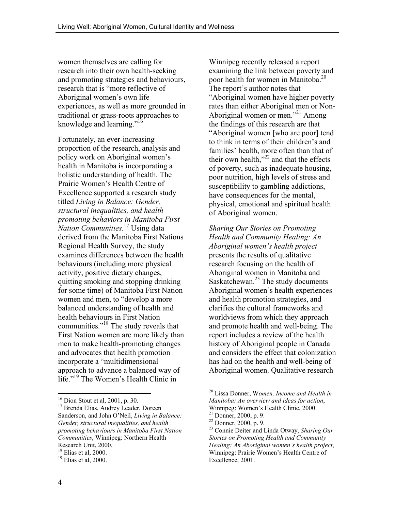women themselves are calling for research into their own health-seeking and promoting strategies and behaviours, research that is "more reflective of Aboriginal women's own life experiences, as well as more grounded in traditional or grass-roots approaches to knowledge and learning."<sup>16</sup>

Fortunately, an ever-increasing proportion of the research, analysis and policy work on Aboriginal women's health in Manitoba is incorporating a holistic understanding of health. The Prairie Women's Health Centre of Excellence supported a research study titled *Living in Balance: Gender, structural inequalities, and health promoting behaviors in Manitoba First Nation Communities.*<sup>17</sup> Using data derived from the Manitoba First Nations Regional Health Survey, the study examines differences between the health behaviours (including more physical activity, positive dietary changes, quitting smoking and stopping drinking for some time) of Manitoba First Nation women and men, to "develop a more balanced understanding of health and health behaviours in First Nation communities."18 The study reveals that First Nation women are more likely than men to make health-promoting changes and advocates that health promotion incorporate a "multidimensional approach to advance a balanced way of life."19 The Women's Health Clinic in

Winnipeg recently released a report examining the link between poverty and poor health for women in Manitoba.<sup>20</sup> The report's author notes that "Aboriginal women have higher poverty rates than either Aboriginal men or Non-Aboriginal women or men."<sup>21</sup> Among the findings of this research are that "Aboriginal women [who are poor] tend to think in terms of their children's and families' health, more often than that of their own health," $^{22}$  and that the effects of poverty, such as inadequate housing, poor nutrition, high levels of stress and susceptibility to gambling addictions, have consequences for the mental, physical, emotional and spiritual health of Aboriginal women.

*Sharing Our Stories on Promoting Health and Community Healing: An Aboriginal women's health project* presents the results of qualitative research focusing on the health of Aboriginal women in Manitoba and Saskatchewan. $^{23}$  The study documents Aboriginal women's health experiences and health promotion strategies, and clarifies the cultural frameworks and worldviews from which they approach and promote health and well-being. The report includes a review of the health history of Aboriginal people in Canada and considers the effect that colonization has had on the health and well-being of Aboriginal women. Qualitative research

 $\overline{a}$ 

<sup>16</sup> Dion Stout et al, 2001, p. 30.

<sup>&</sup>lt;sup>17</sup> Brenda Elias, Audrey Leader, Doreen Sanderson, and John O'Neil, *Living in Balance: Gender, structural inequalities, and health promoting behaviours in Manitoba First Nation Communities*, Winnipeg: Northern Health Research Unit, 2000.

 $18$  Elias et al, 2000.

 $19$  Elias et al, 2000.

<sup>20</sup> Lissa Donner, W*omen, Income and Health in Manitoba: An overview and ideas for action*, Winnipeg: Women's Health Clinic, 2000.

<sup>21</sup> Donner, 2000, p. 9.

<sup>22</sup> Donner, 2000, p. 9.

<sup>23</sup> Connie Deiter and Linda Otway, *Sharing Our Stories on Promoting Health and Community Healing: An Aboriginal women's health project*, Winnipeg: Prairie Women's Health Centre of Excellence, 2001.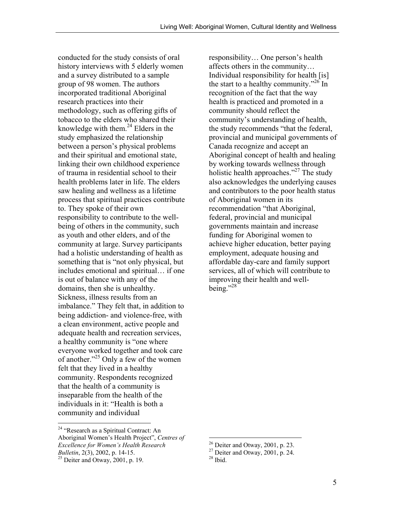conducted for the study consists of oral history interviews with 5 elderly women and a survey distributed to a sample group of 98 women. The authors incorporated traditional Aboriginal research practices into their methodology, such as offering gifts of tobacco to the elders who shared their knowledge with them. $^{24}$  Elders in the study emphasized the relationship between a person's physical problems and their spiritual and emotional state, linking their own childhood experience of trauma in residential school to their health problems later in life. The elders saw healing and wellness as a lifetime process that spiritual practices contribute to. They spoke of their own responsibility to contribute to the wellbeing of others in the community, such as youth and other elders, and of the community at large. Survey participants had a holistic understanding of health as something that is "not only physical, but includes emotional and spiritual… if one is out of balance with any of the domains, then she is unhealthy. Sickness, illness results from an imbalance." They felt that, in addition to being addiction- and violence-free, with a clean environment, active people and adequate health and recreation services, a healthy community is "one where everyone worked together and took care of another."25 Only a few of the women felt that they lived in a healthy community. Respondents recognized that the health of a community is inseparable from the health of the individuals in it: "Health is both a community and individual

1

responsibility… One person's health affects others in the community… Individual responsibility for health [is] the start to a healthy community."<sup>26</sup> In recognition of the fact that the way health is practiced and promoted in a community should reflect the community's understanding of health, the study recommends "that the federal, provincial and municipal governments of Canada recognize and accept an Aboriginal concept of health and healing by working towards wellness through holistic health approaches." $^{27}$  The study also acknowledges the underlying causes and contributors to the poor health status of Aboriginal women in its recommendation "that Aboriginal, federal, provincial and municipal governments maintain and increase funding for Aboriginal women to achieve higher education, better paying employment, adequate housing and affordable day-care and family support services, all of which will contribute to improving their health and well $beine$ .  $28$ 

<sup>&</sup>lt;sup>24</sup> "Research as a Spiritual Contract: An Aboriginal Women's Health Project", *Centres of Excellence for Women's Health Research Bulletin*, 2(3), 2002, p. 14-15. 25 Deiter and Otway, 2001, p. 19.

 $26$  Deiter and Otway, 2001, p. 23.

 $27$  Deiter and Otway, 2001, p. 24.

 $28$  Ibid.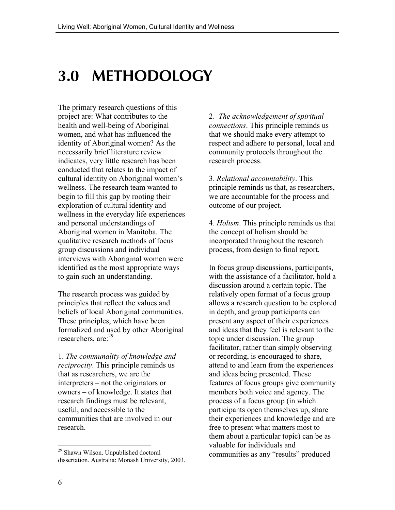# **3.0 METHODOLOGY**

The primary research questions of this project are: What contributes to the health and well-being of Aboriginal women, and what has influenced the identity of Aboriginal women? As the necessarily brief literature review indicates, very little research has been conducted that relates to the impact of cultural identity on Aboriginal women's wellness. The research team wanted to begin to fill this gap by rooting their exploration of cultural identity and wellness in the everyday life experiences and personal understandings of Aboriginal women in Manitoba. The qualitative research methods of focus group discussions and individual interviews with Aboriginal women were identified as the most appropriate ways to gain such an understanding.

The research process was guided by principles that reflect the values and beliefs of local Aboriginal communities. These principles, which have been formalized and used by other Aboriginal researchers, are<sup>-29</sup>

1. *The communality of knowledge and reciprocity*. This principle reminds us that as researchers, we are the interpreters – not the originators or owners – of knowledge. It states that research findings must be relevant, useful, and accessible to the communities that are involved in our research.

2. *The acknowledgement of spiritual connections*. This principle reminds us that we should make every attempt to respect and adhere to personal, local and community protocols throughout the research process.

3. *Relational accountability*. This principle reminds us that, as researchers, we are accountable for the process and outcome of our project.

4. *Holism*. This principle reminds us that the concept of holism should be incorporated throughout the research process, from design to final report.

In focus group discussions, participants, with the assistance of a facilitator, hold a discussion around a certain topic. The relatively open format of a focus group allows a research question to be explored in depth, and group participants can present any aspect of their experiences and ideas that they feel is relevant to the topic under discussion. The group facilitator, rather than simply observing or recording, is encouraged to share, attend to and learn from the experiences and ideas being presented. These features of focus groups give community members both voice and agency. The process of a focus group (in which participants open themselves up, share their experiences and knowledge and are free to present what matters most to them about a particular topic) can be as valuable for individuals and communities as any "results" produced

<sup>&</sup>lt;sup>29</sup> Shawn Wilson. Unpublished doctoral dissertation. Australia: Monash University, 2003.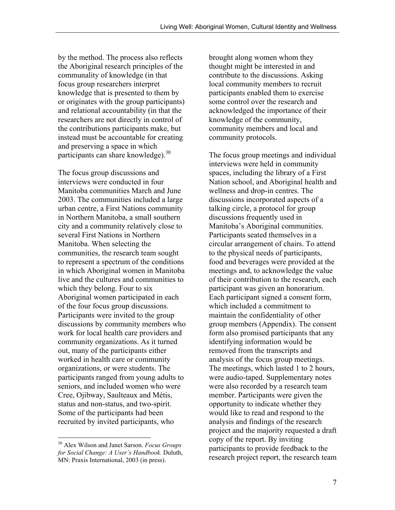by the method. The process also reflects the Aboriginal research principles of the communality of knowledge (in that focus group researchers interpret knowledge that is presented to them by or originates with the group participants) and relational accountability (in that the researchers are not directly in control of the contributions participants make, but instead must be accountable for creating and preserving a space in which participants can share knowledge).<sup>30</sup>

The focus group discussions and interviews were conducted in four Manitoba communities March and June 2003. The communities included a large urban centre, a First Nations community in Northern Manitoba, a small southern city and a community relatively close to several First Nations in Northern Manitoba. When selecting the communities, the research team sought to represent a spectrum of the conditions in which Aboriginal women in Manitoba live and the cultures and communities to which they belong. Four to six Aboriginal women participated in each of the four focus group discussions. Participants were invited to the group discussions by community members who work for local health care providers and community organizations. As it turned out, many of the participants either worked in health care or community organizations, or were students. The participants ranged from young adults to seniors, and included women who were Cree, Ojibway, Saulteaux and Métis, status and non-status, and two-spirit. Some of the participants had been recruited by invited participants, who

30 Alex Wilson and Janet Sarson. *Focus Groups for Social Change: A User's Handbook.* Duluth, MN: Praxis International, 2003 (in press).

 $\overline{a}$ 

brought along women whom they thought might be interested in and contribute to the discussions. Asking local community members to recruit participants enabled them to exercise some control over the research and acknowledged the importance of their knowledge of the community, community members and local and community protocols.

The focus group meetings and individual interviews were held in community spaces, including the library of a First Nation school, and Aboriginal health and wellness and drop-in centres. The discussions incorporated aspects of a talking circle, a protocol for group discussions frequently used in Manitoba's Aboriginal communities. Participants seated themselves in a circular arrangement of chairs. To attend to the physical needs of participants, food and beverages were provided at the meetings and, to acknowledge the value of their contribution to the research, each participant was given an honorarium. Each participant signed a consent form, which included a commitment to maintain the confidentiality of other group members (Appendix). The consent form also promised participants that any identifying information would be removed from the transcripts and analysis of the focus group meetings. The meetings, which lasted 1 to 2 hours, were audio-taped. Supplementary notes were also recorded by a research team member. Participants were given the opportunity to indicate whether they would like to read and respond to the analysis and findings of the research project and the majority requested a draft copy of the report. By inviting participants to provide feedback to the research project report, the research team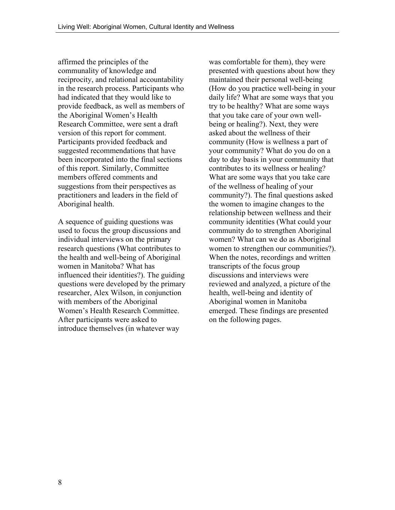affirmed the principles of the communality of knowledge and reciprocity, and relational accountability in the research process. Participants who had indicated that they would like to provide feedback, as well as members of the Aboriginal Women's Health Research Committee, were sent a draft version of this report for comment. Participants provided feedback and suggested recommendations that have been incorporated into the final sections of this report. Similarly, Committee members offered comments and suggestions from their perspectives as practitioners and leaders in the field of Aboriginal health.

A sequence of guiding questions was used to focus the group discussions and individual interviews on the primary research questions (What contributes to the health and well-being of Aboriginal women in Manitoba? What has influenced their identities?). The guiding questions were developed by the primary researcher, Alex Wilson, in conjunction with members of the Aboriginal Women's Health Research Committee. After participants were asked to introduce themselves (in whatever way

was comfortable for them), they were presented with questions about how they maintained their personal well-being (How do you practice well-being in your daily life? What are some ways that you try to be healthy? What are some ways that you take care of your own wellbeing or healing?). Next, they were asked about the wellness of their community (How is wellness a part of your community? What do you do on a day to day basis in your community that contributes to its wellness or healing? What are some ways that you take care of the wellness of healing of your community?). The final questions asked the women to imagine changes to the relationship between wellness and their community identities (What could your community do to strengthen Aboriginal women? What can we do as Aboriginal women to strengthen our communities?). When the notes, recordings and written transcripts of the focus group discussions and interviews were reviewed and analyzed, a picture of the health, well-being and identity of Aboriginal women in Manitoba emerged. These findings are presented on the following pages.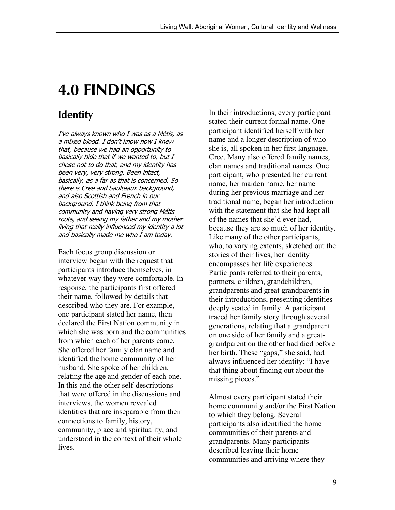# **4.0 FINDINGS**

### **Identity**

I've always known who I was as a Métis, as a mixed blood. I don't know how I knew that, because we had an opportunity to basically hide that if we wanted to, but I chose not to do that, and my identity has been very, very strong. Been intact, basically, as a far as that is concerned. So there is Cree and Saulteaux background, and also Scottish and French in our background. I think being from that community and having very strong Métis roots, and seeing my father and my mother living that really influenced my identity a lot and basically made me who I am today.

Each focus group discussion or interview began with the request that participants introduce themselves, in whatever way they were comfortable. In response, the participants first offered their name, followed by details that described who they are. For example, one participant stated her name, then declared the First Nation community in which she was born and the communities from which each of her parents came. She offered her family clan name and identified the home community of her husband. She spoke of her children, relating the age and gender of each one. In this and the other self-descriptions that were offered in the discussions and interviews, the women revealed identities that are inseparable from their connections to family, history, community, place and spirituality, and understood in the context of their whole **lives** 

In their introductions, every participant stated their current formal name. One participant identified herself with her name and a longer description of who she is, all spoken in her first language, Cree. Many also offered family names, clan names and traditional names. One participant, who presented her current name, her maiden name, her name during her previous marriage and her traditional name, began her introduction with the statement that she had kept all of the names that she'd ever had, because they are so much of her identity. Like many of the other participants, who, to varying extents, sketched out the stories of their lives, her identity encompasses her life experiences. Participants referred to their parents, partners, children, grandchildren, grandparents and great grandparents in their introductions, presenting identities deeply seated in family. A participant traced her family story through several generations, relating that a grandparent on one side of her family and a greatgrandparent on the other had died before her birth. These "gaps," she said, had always influenced her identity: "I have that thing about finding out about the missing pieces."

Almost every participant stated their home community and/or the First Nation to which they belong. Several participants also identified the home communities of their parents and grandparents. Many participants described leaving their home communities and arriving where they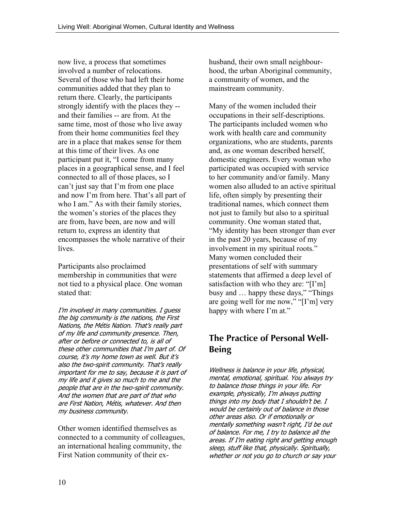now live, a process that sometimes involved a number of relocations. Several of those who had left their home communities added that they plan to return there. Clearly, the participants strongly identify with the places they - and their families -- are from. At the same time, most of those who live away from their home communities feel they are in a place that makes sense for them at this time of their lives. As one participant put it, "I come from many places in a geographical sense, and I feel connected to all of those places, so I can't just say that I'm from one place and now I'm from here. That's all part of who I am." As with their family stories, the women's stories of the places they are from, have been, are now and will return to, express an identity that encompasses the whole narrative of their lives.

Participants also proclaimed membership in communities that were not tied to a physical place. One woman stated that:

I'm involved in many communities. I guess the big community is the nations, the First Nations, the Métis Nation. That's really part of my life and community presence. Then, after or before or connected to, is all of these other communities that I'm part of. Of course, it's my home town as well. But it's also the two-spirit community. That's really important for me to say, because it is part of my life and it gives so much to me and the people that are in the two-spirit community. And the women that are part of that who are First Nation, Métis, whatever. And then my business community.

Other women identified themselves as connected to a community of colleagues, an international healing community, the First Nation community of their exhusband, their own small neighbourhood, the urban Aboriginal community, a community of women, and the mainstream community.

Many of the women included their occupations in their self-descriptions. The participants included women who work with health care and community organizations, who are students, parents and, as one woman described herself, domestic engineers. Every woman who participated was occupied with service to her community and/or family. Many women also alluded to an active spiritual life, often simply by presenting their traditional names, which connect them not just to family but also to a spiritual community. One woman stated that, "My identity has been stronger than ever in the past 20 years, because of my involvement in my spiritual roots." Many women concluded their presentations of self with summary statements that affirmed a deep level of satisfaction with who they are: "[I'm] busy and … happy these days," "Things are going well for me now," "[I'm] very happy with where I'm at."

### **The Practice of Personal Well-Being**

Wellness is balance in your life, physical, mental, emotional, spiritual. You always try to balance those things in your life. For example, physically, I'm always putting things into my body that I shouldn't be. I would be certainly out of balance in those other areas also. Or if emotionally or mentally something wasn't right, I'd be out of balance. For me, I try to balance all the areas. If I'm eating right and getting enough sleep, stuff like that, physically. Spiritually, whether or not you go to church or say your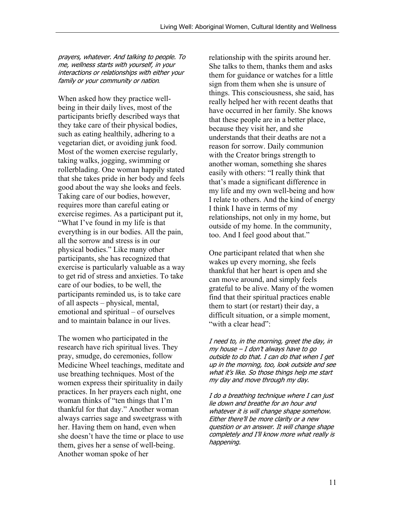prayers, whatever. And talking to people. To me, wellness starts with yourself, in your interactions or relationships with either your family or your community or nation*.*

When asked how they practice wellbeing in their daily lives, most of the participants briefly described ways that they take care of their physical bodies, such as eating healthily, adhering to a vegetarian diet, or avoiding junk food. Most of the women exercise regularly, taking walks, jogging, swimming or rollerblading. One woman happily stated that she takes pride in her body and feels good about the way she looks and feels. Taking care of our bodies, however, requires more than careful eating or exercise regimes. As a participant put it, "What I've found in my life is that everything is in our bodies. All the pain, all the sorrow and stress is in our physical bodies." Like many other participants, she has recognized that exercise is particularly valuable as a way to get rid of stress and anxieties. To take care of our bodies, to be well, the participants reminded us, is to take care of all aspects – physical, mental, emotional and spiritual – of ourselves and to maintain balance in our lives.

The women who participated in the research have rich spiritual lives. They pray, smudge, do ceremonies, follow Medicine Wheel teachings, meditate and use breathing techniques. Most of the women express their spirituality in daily practices. In her prayers each night, one woman thinks of "ten things that I'm thankful for that day." Another woman always carries sage and sweetgrass with her. Having them on hand, even when she doesn't have the time or place to use them, gives her a sense of well-being. Another woman spoke of her

relationship with the spirits around her. She talks to them, thanks them and asks them for guidance or watches for a little sign from them when she is unsure of things. This consciousness, she said, has really helped her with recent deaths that have occurred in her family. She knows that these people are in a better place, because they visit her, and she understands that their deaths are not a reason for sorrow. Daily communion with the Creator brings strength to another woman, something she shares easily with others: "I really think that that's made a significant difference in my life and my own well-being and how I relate to others. And the kind of energy I think I have in terms of my relationships, not only in my home, but outside of my home. In the community, too. And I feel good about that."

One participant related that when she wakes up every morning, she feels thankful that her heart is open and she can move around, and simply feels grateful to be alive. Many of the women find that their spiritual practices enable them to start (or restart) their day, a difficult situation, or a simple moment, "with a clear head":

I need to, in the morning, greet the day, in my house – I don't always have to go outside to do that. I can do that when I get up in the morning, too, look outside and see what it's like. So those things help me start my day and move through my day.

I do a breathing technique where I can just lie down and breathe for an hour and whatever it is will change shape somehow. Either there'll be more clarity or a new question or an answer. It will change shape completely and I'll know more what really is happening.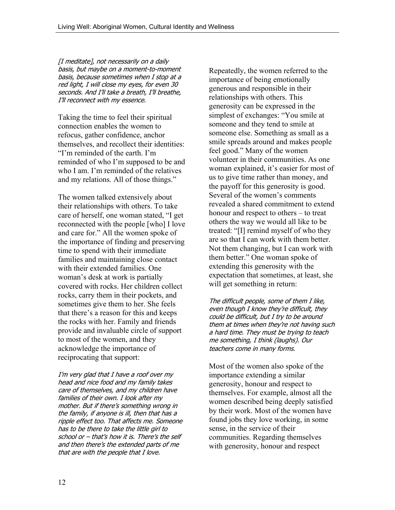[I meditate], not necessarily on a daily basis, but maybe on a moment-to-moment basis, because sometimes when I stop at a red light, I will close my eyes, for even 30 seconds. And I'll take a breath, I'll breathe, I'll reconnect with my essence.

Taking the time to feel their spiritual connection enables the women to refocus, gather confidence, anchor themselves, and recollect their identities: "I'm reminded of the earth. I'm reminded of who I'm supposed to be and who I am. I'm reminded of the relatives and my relations. All of those things."

The women talked extensively about their relationships with others. To take care of herself, one woman stated, "I get reconnected with the people [who] I love and care for." All the women spoke of the importance of finding and preserving time to spend with their immediate families and maintaining close contact with their extended families. One woman's desk at work is partially covered with rocks. Her children collect rocks, carry them in their pockets, and sometimes give them to her. She feels that there's a reason for this and keeps the rocks with her. Family and friends provide and invaluable circle of support to most of the women, and they acknowledge the importance of reciprocating that support:

I'm very glad that I have a roof over my head and nice food and my family takes care of themselves, and my children have families of their own. I look after my mother. But if there's something wrong in the family, if anyone is ill, then that has a ripple effect too. That affects me. Someone has to be there to take the little girl to school or – that's how it is. There's the self and then there's the extended parts of me that are with the people that I love.

Repeatedly, the women referred to the importance of being emotionally generous and responsible in their relationships with others. This generosity can be expressed in the simplest of exchanges: "You smile at someone and they tend to smile at someone else. Something as small as a smile spreads around and makes people feel good." Many of the women volunteer in their communities. As one woman explained, it's easier for most of us to give time rather than money, and the payoff for this generosity is good. Several of the women's comments revealed a shared commitment to extend honour and respect to others – to treat others the way we would all like to be treated: "[I] remind myself of who they are so that I can work with them better. Not them changing, but I can work with them better." One woman spoke of extending this generosity with the expectation that sometimes, at least, she will get something in return:

The difficult people, some of them I like, even though I know they're difficult, they could be difficult, but I try to be around them at times when they're not having such a hard time. They must be trying to teach me something, I think (laughs). Our teachers come in many forms.

Most of the women also spoke of the importance extending a similar generosity, honour and respect to themselves. For example, almost all the women described being deeply satisfied by their work. Most of the women have found jobs they love working, in some sense, in the service of their communities. Regarding themselves with generosity, honour and respect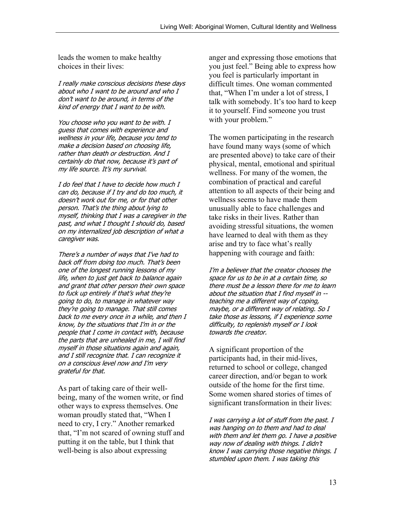leads the women to make healthy choices in their lives:

I really make conscious decisions these days about who I want to be around and who I don't want to be around, in terms of the kind of energy that I want to be with.

You choose who you want to be with. I guess that comes with experience and wellness in your life, because you tend to make a decision based on choosing life, rather than death or destruction. And I certainly do that now, because it's part of my life source. It's my survival.

I do feel that I have to decide how much I can do, because if I try and do too much, it doesn't work out for me, or for that other person. That's the thing about lying to myself, thinking that I was a caregiver in the past, and what I thought I should do, based on my internalized job description of what a caregiver was.

There's a number of ways that I've had to back off from doing too much. That's been one of the longest running lessons of my life, when to just get back to balance again and grant that other person their own space to fuck up entirely if that's what they're going to do, to manage in whatever way they're going to manage. That still comes back to me every once in a while, and then I know, by the situations that I'm in or the people that I come in contact with, because the parts that are unhealed in me, I will find myself in those situations again and again, and I still recognize that. I can recognize it on a conscious level now and I'm very grateful for that.

As part of taking care of their wellbeing, many of the women write, or find other ways to express themselves. One woman proudly stated that, "When I need to cry, I cry." Another remarked that, "I'm not scared of owning stuff and putting it on the table, but I think that well-being is also about expressing

anger and expressing those emotions that you just feel." Being able to express how you feel is particularly important in difficult times. One woman commented that, "When I'm under a lot of stress, I talk with somebody. It's too hard to keep it to yourself. Find someone you trust with your problem."

The women participating in the research have found many ways (some of which are presented above) to take care of their physical, mental, emotional and spiritual wellness. For many of the women, the combination of practical and careful attention to all aspects of their being and wellness seems to have made them unusually able to face challenges and take risks in their lives. Rather than avoiding stressful situations, the women have learned to deal with them as they arise and try to face what's really happening with courage and faith:

I'm a believer that the creator chooses the space for us to be in at a certain time, so there must be a lesson there for me to learn about the situation that I find myself in - teaching me a different way of coping, maybe, or a different way of relating. So I take those as lessons, if I experience some difficulty, to replenish myself or I look towards the creator.

A significant proportion of the participants had, in their mid-lives, returned to school or college, changed career direction, and/or began to work outside of the home for the first time. Some women shared stories of times of significant transformation in their lives:

I was carrying a lot of stuff from the past. I was hanging on to them and had to deal with them and let them go. I have a positive way now of dealing with things. I didn't know I was carrying those negative things. I stumbled upon them. I was taking this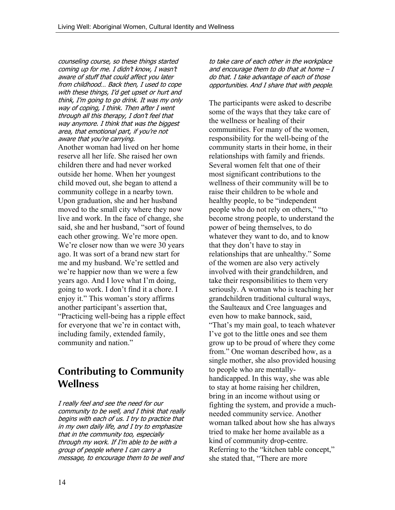counseling course, so these things started coming up for me. I didn't know, I wasn't aware of stuff that could affect you later from childhood… Back then, I used to cope with these things, I'd get upset or hurt and think, I'm going to go drink. It was my only way of coping, I think. Then after I went through all this therapy, I don't feel that way anymore. I think that was the biggest area, that emotional part, if you're not aware that you're carrying.

Another woman had lived on her home reserve all her life. She raised her own children there and had never worked outside her home. When her youngest child moved out, she began to attend a community college in a nearby town. Upon graduation, she and her husband moved to the small city where they now live and work. In the face of change, she said, she and her husband, "sort of found each other growing. We're more open. We're closer now than we were 30 years ago. It was sort of a brand new start for me and my husband. We're settled and we're happier now than we were a few years ago. And I love what I'm doing, going to work. I don't find it a chore. I enjoy it." This woman's story affirms another participant's assertion that, "Practicing well-being has a ripple effect for everyone that we're in contact with, including family, extended family, community and nation."

### **Contributing to Community Wellness**

I really feel and see the need for our community to be well, and I think that really begins with each of us. I try to practice that in my own daily life, and I try to emphasize that in the community too, especially through my work. If I'm able to be with a group of people where I can carry a message, to encourage them to be well and

to take care of each other in the workplace and encourage them to do that at home  $-I$ do that. I take advantage of each of those opportunities. And I share that with people*.*

The participants were asked to describe some of the ways that they take care of the wellness or healing of their communities. For many of the women, responsibility for the well-being of the community starts in their home, in their relationships with family and friends. Several women felt that one of their most significant contributions to the wellness of their community will be to raise their children to be whole and healthy people, to be "independent people who do not rely on others," "to become strong people, to understand the power of being themselves, to do whatever they want to do, and to know that they don't have to stay in relationships that are unhealthy." Some of the women are also very actively involved with their grandchildren, and take their responsibilities to them very seriously. A woman who is teaching her grandchildren traditional cultural ways, the Saulteaux and Cree languages and even how to make bannock, said, "That's my main goal, to teach whatever I've got to the little ones and see them grow up to be proud of where they come from." One woman described how, as a single mother, she also provided housing to people who are mentallyhandicapped. In this way, she was able to stay at home raising her children, bring in an income without using or fighting the system, and provide a muchneeded community service. Another woman talked about how she has always tried to make her home available as a kind of community drop-centre. Referring to the "kitchen table concept," she stated that, "There are more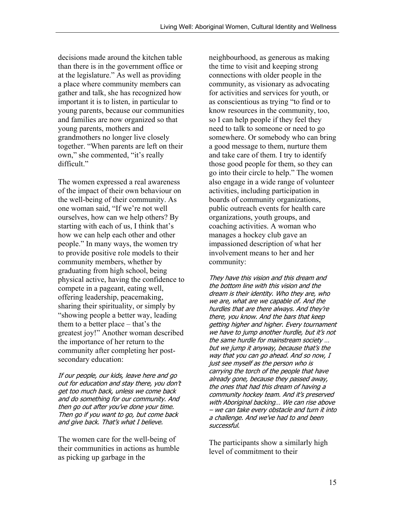decisions made around the kitchen table than there is in the government office or at the legislature." As well as providing a place where community members can gather and talk, she has recognized how important it is to listen, in particular to young parents, because our communities and families are now organized so that young parents, mothers and grandmothers no longer live closely together. "When parents are left on their own," she commented, "it's really difficult."

The women expressed a real awareness of the impact of their own behaviour on the well-being of their community. As one woman said, "If we're not well ourselves, how can we help others? By starting with each of us, I think that's how we can help each other and other people." In many ways, the women try to provide positive role models to their community members, whether by graduating from high school, being physical active, having the confidence to compete in a pageant, eating well, offering leadership, peacemaking, sharing their spirituality, or simply by "showing people a better way, leading them to a better place – that's the greatest joy!" Another woman described the importance of her return to the community after completing her postsecondary education:

If our people, our kids, leave here and go out for education and stay there, you don't get too much back, unless we come back and do something for our community. And then go out after you've done your time. Then go if you want to go, but come back and give back. That's what I believe.

The women care for the well-being of their communities in actions as humble as picking up garbage in the

neighbourhood, as generous as making the time to visit and keeping strong connections with older people in the community, as visionary as advocating for activities and services for youth, or as conscientious as trying "to find or to know resources in the community, too, so I can help people if they feel they need to talk to someone or need to go somewhere. Or somebody who can bring a good message to them, nurture them and take care of them. I try to identify those good people for them, so they can go into their circle to help." The women also engage in a wide range of volunteer activities, including participation in boards of community organizations, public outreach events for health care organizations, youth groups, and coaching activities. A woman who manages a hockey club gave an impassioned description of what her involvement means to her and her community:

They have this vision and this dream and the bottom line with this vision and the dream is their identity. Who they are, who we are, what are we capable of. And the hurdles that are there always. And they're there, you know. And the bars that keep getting higher and higher. Every tournament we have to jump another hurdle, but it's not the same hurdle for mainstream society … but we jump it anyway, because that's the way that you can go ahead. And so now, I just see myself as the person who is carrying the torch of the people that have already gone, because they passed away, the ones that had this dream of having a community hockey team. And it's preserved with Aboriginal backing… We can rise above – we can take every obstacle and turn it into a challenge. And we've had to and been successful.

The participants show a similarly high level of commitment to their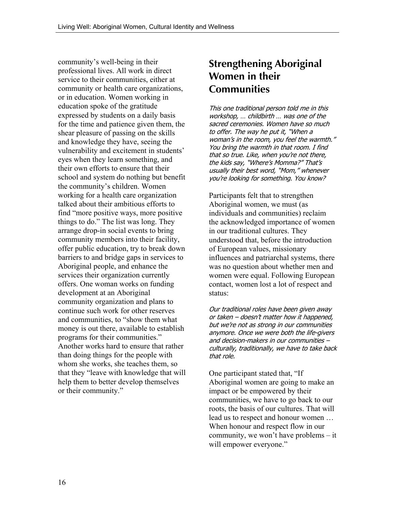community's well-being in their professional lives. All work in direct service to their communities, either at community or health care organizations, or in education. Women working in education spoke of the gratitude expressed by students on a daily basis for the time and patience given them, the shear pleasure of passing on the skills and knowledge they have, seeing the vulnerability and excitement in students' eyes when they learn something, and their own efforts to ensure that their school and system do nothing but benefit the community's children. Women working for a health care organization talked about their ambitious efforts to find "more positive ways, more positive things to do." The list was long. They arrange drop-in social events to bring community members into their facility, offer public education, try to break down barriers to and bridge gaps in services to Aboriginal people, and enhance the services their organization currently offers. One woman works on funding development at an Aboriginal community organization and plans to continue such work for other reserves and communities, to "show them what money is out there, available to establish programs for their communities." Another works hard to ensure that rather than doing things for the people with whom she works, she teaches them, so that they "leave with knowledge that will help them to better develop themselves or their community."

### **Strengthening Aboriginal Women in their Communities**

This one traditional person told me in this workshop, … childbirth … was one of the sacred ceremonies. Women have so much to offer. The way he put it, "When a woman's in the room, you feel the warmth." You bring the warmth in that room. I find that so true. Like, when you're not there, the kids say, "Where's Momma?" That's usually their best word, "Mom," whenever you're looking for something. You know?

Participants felt that to strengthen Aboriginal women, we must (as individuals and communities) reclaim the acknowledged importance of women in our traditional cultures. They understood that, before the introduction of European values, missionary influences and patriarchal systems, there was no question about whether men and women were equal. Following European contact, women lost a lot of respect and status:

Our traditional roles have been given away or taken – doesn't matter how it happened, but we're not as strong in our communities anymore. Once we were both the life-givers and decision-makers in our communities – culturally, traditionally, we have to take back that role.

One participant stated that, "If Aboriginal women are going to make an impact or be empowered by their communities, we have to go back to our roots, the basis of our cultures. That will lead us to respect and honour women … When honour and respect flow in our community, we won't have problems – it will empower everyone."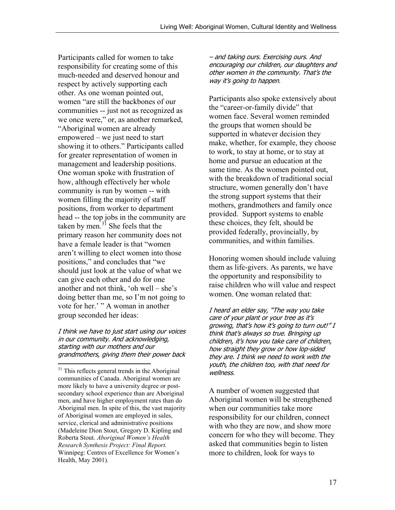Participants called for women to take responsibility for creating some of this much-needed and deserved honour and respect by actively supporting each other. As one woman pointed out, women "are still the backbones of our communities -- just not as recognized as we once were," or, as another remarked, "Aboriginal women are already empowered – we just need to start showing it to others." Participants called for greater representation of women in management and leadership positions. One woman spoke with frustration of how, although effectively her whole community is run by women -- with women filling the majority of staff positions, from worker to department head -- the top jobs in the community are taken by men.<sup>31</sup> She feels that the primary reason her community does not have a female leader is that "women aren't willing to elect women into those positions," and concludes that "we should just look at the value of what we can give each other and do for one another and not think, 'oh well – she's doing better than me, so I'm not going to vote for her.' " A woman in another group seconded her ideas:

I think we have to just start using our voices in our community. And acknowledging, starting with our mothers and our grandmothers, giving them their power back

 $\overline{a}$ 

– and taking ours. Exercising ours. And encouraging our children, our daughters and other women in the community. That's the way it's going to happen.

Participants also spoke extensively about the "career-or-family divide" that women face. Several women reminded the groups that women should be supported in whatever decision they make, whether, for example, they choose to work, to stay at home, or to stay at home and pursue an education at the same time. As the women pointed out, with the breakdown of traditional social structure, women generally don't have the strong support systems that their mothers, grandmothers and family once provided. Support systems to enable these choices, they felt, should be provided federally, provincially, by communities, and within families.

Honoring women should include valuing them as life-givers. As parents, we have the opportunity and responsibility to raise children who will value and respect women. One woman related that:

I heard an elder say, "The way you take care of your plant or your tree as it's growing, that's how it's going to turn out!" I think that's always so true. Bringing up children, it's how you take care of children, how straight they grow or how lop-sided they are. I think we need to work with the youth, the children too, with that need for wellness.

A number of women suggested that Aboriginal women will be strengthened when our communities take more responsibility for our children, connect with who they are now, and show more concern for who they will become. They asked that communities begin to listen more to children, look for ways to

<sup>&</sup>lt;sup>31</sup> This reflects general trends in the Aboriginal communities of Canada. Aboriginal women are more likely to have a university degree or postsecondary school experience than are Aboriginal men, and have higher employment rates than do Aboriginal men. In spite of this, the vast majority of Aboriginal women are employed in sales, service, clerical and administrative positions (Madeleine Dion Stout, Gregory D. Kipling and Roberta Stout. *Aboriginal Women's Health Research Synthesis Project: Final Report.* Winnipeg: Centres of Excellence for Women's Health, May 2001).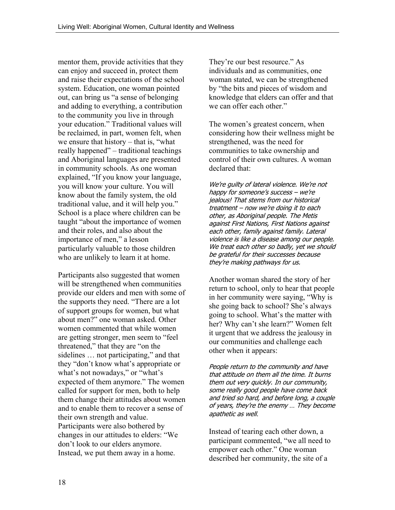mentor them, provide activities that they can enjoy and succeed in, protect them and raise their expectations of the school system. Education, one woman pointed out, can bring us "a sense of belonging and adding to everything, a contribution to the community you live in through your education." Traditional values will be reclaimed, in part, women felt, when we ensure that history – that is, "what really happened" – traditional teachings and Aboriginal languages are presented in community schools. As one woman explained, "If you know your language, you will know your culture. You will know about the family system, the old traditional value, and it will help you." School is a place where children can be taught "about the importance of women and their roles, and also about the importance of men," a lesson particularly valuable to those children who are unlikely to learn it at home.

Participants also suggested that women will be strengthened when communities provide our elders and men with some of the supports they need. "There are a lot of support groups for women, but what about men?" one woman asked. Other women commented that while women are getting stronger, men seem to "feel threatened," that they are "on the sidelines … not participating," and that they "don't know what's appropriate or what's not nowadays," or "what's expected of them anymore." The women called for support for men, both to help them change their attitudes about women and to enable them to recover a sense of their own strength and value. Participants were also bothered by changes in our attitudes to elders: "We don't look to our elders anymore. Instead, we put them away in a home.

They're our best resource." As individuals and as communities, one woman stated, we can be strengthened by "the bits and pieces of wisdom and knowledge that elders can offer and that we can offer each other."

The women's greatest concern, when considering how their wellness might be strengthened, was the need for communities to take ownership and control of their own cultures. A woman declared that:

We're quilty of lateral violence. We're not happy for someone's success – we're jealous! That stems from our historical treatment – now we're doing it to each other, as Aboriginal people. The Metis against First Nations, First Nations against each other, family against family. Lateral violence is like a disease among our people. We treat each other so badly, yet we should be grateful for their successes because they're making pathways for us.

Another woman shared the story of her return to school, only to hear that people in her community were saying, "Why is she going back to school? She's always going to school. What's the matter with her? Why can't she learn?" Women felt it urgent that we address the jealousy in our communities and challenge each other when it appears:

People return to the community and have that attitude on them all the time. It burns them out very quickly. In our community, some really good people have come back and tried so hard, and before long, a couple of years, they're the enemy … They become apathetic as well.

Instead of tearing each other down, a participant commented, "we all need to empower each other." One woman described her community, the site of a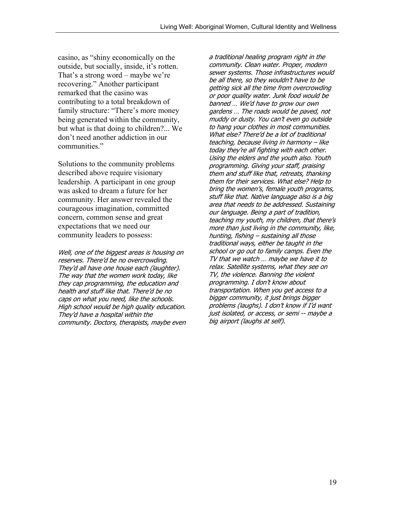casino, as "shiny economically on the outside, but socially, inside, it's rotten. That's a strong word – maybe we're recovering." Another participant remarked that the casino was contributing to a total breakdown of family structure: "There's more money being generated within the community, but what is that doing to children?... We don't need another addiction in our communities."

Solutions to the community problems described above require visionary leadership. A participant in one group was asked to dream a future for her community. Her answer revealed the courageous imagination, committed concern, common sense and great expectations that we need our community leaders to possess:

Well, one of the biggest areas is housing on reserves. There'd be no overcrowding. They'd all have one house each (laughter). The way that the women work today, like they cap programming, the education and health and stuff like that. There'd be no caps on what you need, like the schools. High school would be high quality education. They'd have a hospital within the community. Doctors, therapists, maybe even a traditional healing program right in the community. Clean water. Proper, modern sewer systems. Those infrastructures would be all there, so they wouldn't have to be getting sick all the time from overcrowding or poor quality water. Junk food would be banned … We'd have to grow our own gardens … The roads would be paved, not muddy or dusty. You can't even go outside to hang your clothes in most communities. What else? There'd be a lot of traditional teaching, because living in harmony – like today they're all fighting with each other. Using the elders and the youth also. Youth programming. Giving your staff, praising them and stuff like that, retreats, thanking them for their services. What else? Help to bring the women's, female youth programs, stuff like that. Native language also is a big area that needs to be addressed. Sustaining our language. Being a part of tradition, teaching my youth, my children, that there's more than just living in the community, like, hunting, fishing – sustaining all those traditional ways, either be taught in the school or go out to family camps. Even the TV that we watch … maybe we have it to relax. Satellite systems, what they see on TV, the violence. Banning the violent programming. I don't know about transportation. When you get access to a bigger community, it just brings bigger problems (laughs). I don't know if I'd want just isolated, or access, or semi -- maybe a big airport (laughs at self).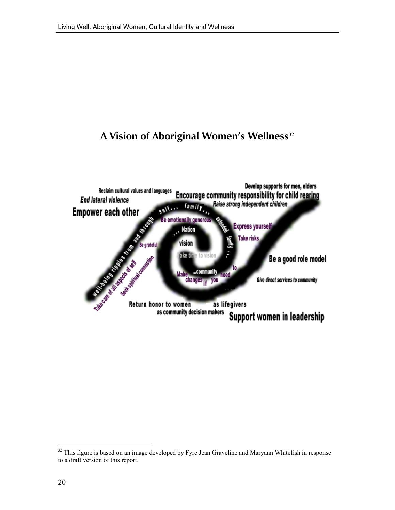### **A Vision of Aboriginal Women's Wellness**<sup>32</sup>



 $32$  This figure is based on an image developed by Fyre Jean Graveline and Maryann Whitefish in response to a draft version of this report.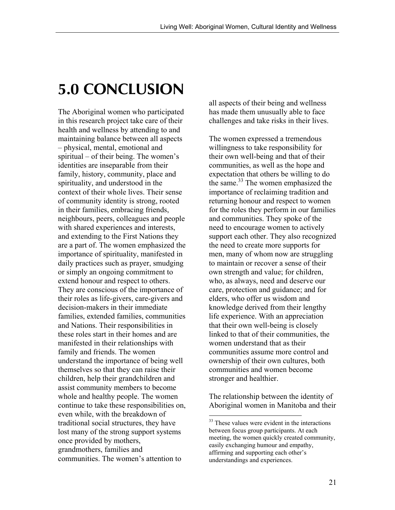# **5.0 CONCLUSION**

The Aboriginal women who participated in this research project take care of their health and wellness by attending to and maintaining balance between all aspects – physical, mental, emotional and spiritual – of their being. The women's identities are inseparable from their family, history, community, place and spirituality, and understood in the context of their whole lives. Their sense of community identity is strong, rooted in their families, embracing friends, neighbours, peers, colleagues and people with shared experiences and interests, and extending to the First Nations they are a part of. The women emphasized the importance of spirituality, manifested in daily practices such as prayer, smudging or simply an ongoing commitment to extend honour and respect to others. They are conscious of the importance of their roles as life-givers, care-givers and decision-makers in their immediate families, extended families, communities and Nations. Their responsibilities in these roles start in their homes and are manifested in their relationships with family and friends. The women understand the importance of being well themselves so that they can raise their children, help their grandchildren and assist community members to become whole and healthy people. The women continue to take these responsibilities on, even while, with the breakdown of traditional social structures, they have lost many of the strong support systems once provided by mothers, grandmothers, families and communities. The women's attention to

all aspects of their being and wellness has made them unusually able to face challenges and take risks in their lives.

The women expressed a tremendous willingness to take responsibility for their own well-being and that of their communities, as well as the hope and expectation that others be willing to do the same.<sup>33</sup> The women emphasized the importance of reclaiming tradition and returning honour and respect to women for the roles they perform in our families and communities. They spoke of the need to encourage women to actively support each other. They also recognized the need to create more supports for men, many of whom now are struggling to maintain or recover a sense of their own strength and value; for children, who, as always, need and deserve our care, protection and guidance; and for elders, who offer us wisdom and knowledge derived from their lengthy life experience. With an appreciation that their own well-being is closely linked to that of their communities, the women understand that as their communities assume more control and ownership of their own cultures, both communities and women become stronger and healthier.

The relationship between the identity of Aboriginal women in Manitoba and their

<sup>&</sup>lt;sup>33</sup> These values were evident in the interactions between focus group participants. At each meeting, the women quickly created community, easily exchanging humour and empathy, affirming and supporting each other's understandings and experiences.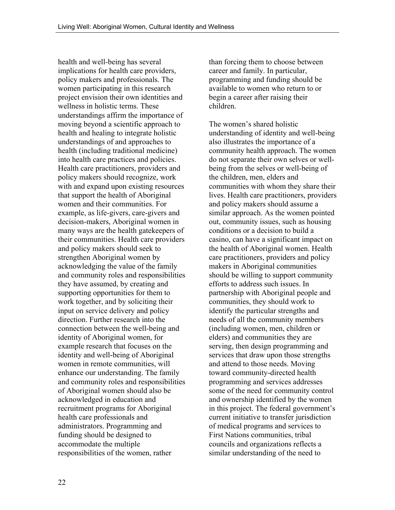health and well-being has several implications for health care providers, policy makers and professionals. The women participating in this research project envision their own identities and wellness in holistic terms. These understandings affirm the importance of moving beyond a scientific approach to health and healing to integrate holistic understandings of and approaches to health (including traditional medicine) into health care practices and policies. Health care practitioners, providers and policy makers should recognize, work with and expand upon existing resources that support the health of Aboriginal women and their communities. For example, as life-givers, care-givers and decision-makers, Aboriginal women in many ways are the health gatekeepers of their communities. Health care providers and policy makers should seek to strengthen Aboriginal women by acknowledging the value of the family and community roles and responsibilities they have assumed, by creating and supporting opportunities for them to work together, and by soliciting their input on service delivery and policy direction. Further research into the connection between the well-being and identity of Aboriginal women, for example research that focuses on the identity and well-being of Aboriginal women in remote communities, will enhance our understanding. The family and community roles and responsibilities of Aboriginal women should also be acknowledged in education and recruitment programs for Aboriginal health care professionals and administrators. Programming and funding should be designed to accommodate the multiple responsibilities of the women, rather

than forcing them to choose between career and family. In particular, programming and funding should be available to women who return to or begin a career after raising their children.

The women's shared holistic understanding of identity and well-being also illustrates the importance of a community health approach. The women do not separate their own selves or wellbeing from the selves or well-being of the children, men, elders and communities with whom they share their lives. Health care practitioners, providers and policy makers should assume a similar approach. As the women pointed out, community issues, such as housing conditions or a decision to build a casino, can have a significant impact on the health of Aboriginal women. Health care practitioners, providers and policy makers in Aboriginal communities should be willing to support community efforts to address such issues. In partnership with Aboriginal people and communities, they should work to identify the particular strengths and needs of all the community members (including women, men, children or elders) and communities they are serving, then design programming and services that draw upon those strengths and attend to those needs. Moving toward community-directed health programming and services addresses some of the need for community control and ownership identified by the women in this project. The federal government's current initiative to transfer jurisdiction of medical programs and services to First Nations communities, tribal councils and organizations reflects a similar understanding of the need to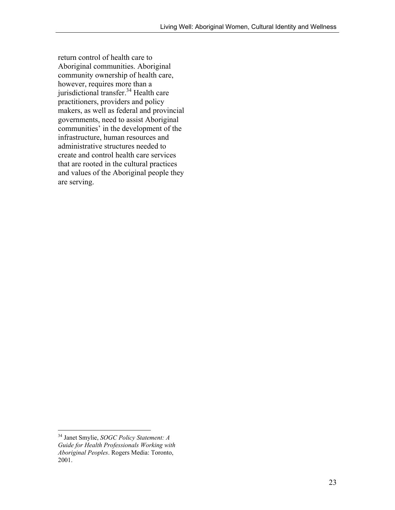return control of health care to Aboriginal communities. Aboriginal community ownership of health care, however, requires more than a jurisdictional transfer.34 Health care practitioners, providers and policy makers, as well as federal and provincial governments, need to assist Aboriginal communities' in the development of the infrastructure, human resources and administrative structures needed to create and control health care services that are rooted in the cultural practices and values of the Aboriginal people they are serving.

<sup>34</sup> Janet Smylie, *SOGC Policy Statement: A Guide for Health Professionals Working with Aboriginal Peoples*. Rogers Media: Toronto, 2001.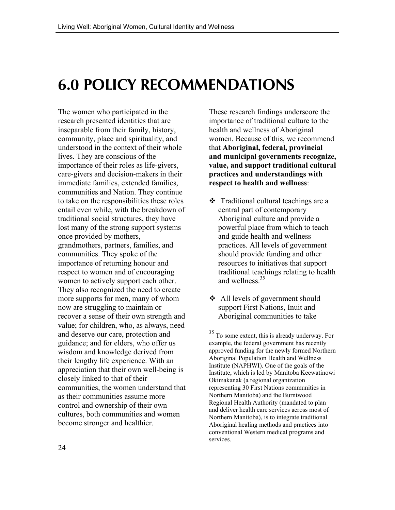# **6.0 POLICY RECOMMENDATIONS**

The women who participated in the research presented identities that are inseparable from their family, history, community, place and spirituality, and understood in the context of their whole lives. They are conscious of the importance of their roles as life-givers, care-givers and decision-makers in their immediate families, extended families, communities and Nation. They continue to take on the responsibilities these roles entail even while, with the breakdown of traditional social structures, they have lost many of the strong support systems once provided by mothers, grandmothers, partners, families, and communities. They spoke of the importance of returning honour and respect to women and of encouraging women to actively support each other. They also recognized the need to create more supports for men, many of whom now are struggling to maintain or recover a sense of their own strength and value; for children, who, as always, need and deserve our care, protection and guidance; and for elders, who offer us wisdom and knowledge derived from their lengthy life experience. With an appreciation that their own well-being is closely linked to that of their communities, the women understand that as their communities assume more control and ownership of their own cultures, both communities and women become stronger and healthier.

These research findings underscore the importance of traditional culture to the health and wellness of Aboriginal women. Because of this, we recommend that **Aboriginal, federal, provincial and municipal governments recognize, value, and support traditional cultural practices and understandings with respect to health and wellness**:

- $\triangleleft$  Traditional cultural teachings are a central part of contemporary Aboriginal culture and provide a powerful place from which to teach and guide health and wellness practices. All levels of government should provide funding and other resources to initiatives that support traditional teachings relating to health and wellness.<sup>35</sup>
- All levels of government should support First Nations, Inuit and Aboriginal communities to take

 $35$  To some extent, this is already underway. For example, the federal government has recently approved funding for the newly formed Northern Aboriginal Population Health and Wellness Institute (NAPHWI). One of the goals of the Institute, which is led by Manitoba Keewatinowi Okimakanak (a regional organization representing 30 First Nations communities in Northern Manitoba) and the Burntwood Regional Health Authority (mandated to plan and deliver health care services across most of Northern Manitoba), is to integrate traditional Aboriginal healing methods and practices into conventional Western medical programs and services.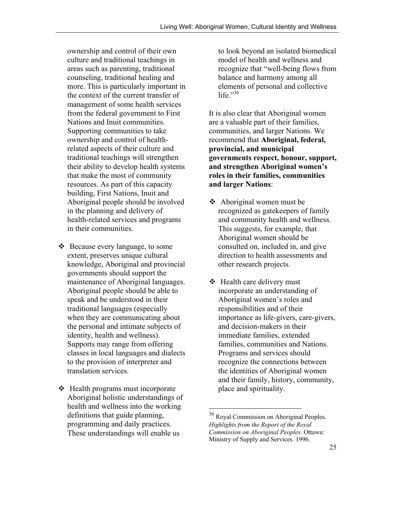ownership and control of their own culture and traditional teachings in areas such as parenting, traditional counseling, traditional healing and more. This is particularly important in the context of the current transfer of management of some health services from the federal government to First Nations and Inuit communities. Supporting communities to take ownership and control of healthrelated aspects of their culture and traditional teachings will strengthen their ability to develop health systems that make the most of community resources. As part of this capacity building, First Nations, Inuit and Aboriginal people should be involved in the planning and delivery of health-related services and programs in their communities.

- $\triangle$  Because every language, to some extent, preserves unique cultural knowledge, Aboriginal and provincial governments should support the maintenance of Aboriginal languages. Aboriginal people should be able to speak and be understood in their traditional languages (especially when they are communicating about the personal and intimate subjects of identity, health and wellness). Supports may range from offering classes in local languages and dialects to the provision of interpreter and translation services.
- Health programs must incorporate Aboriginal holistic understandings of health and wellness into the working definitions that guide planning, programming and daily practices. These understandings will enable us

to look beyond an isolated biomedical model of health and wellness and recognize that "well-being flows from balance and harmony among all elements of personal and collective life." $36$ 

It is also clear that Aboriginal women are a valuable part of their families, communities, and larger Nations. We recommend that **Aboriginal, federal, provincial, and municipal governments respect, honour, support, and strengthen Aboriginal women's roles in their families, communities and larger Nations**:

- $\triangleleft$  Aboriginal women must be recognized as gatekeepers of family and community health and wellness. This suggests, for example, that Aboriginal women should be consulted on, included in, and give direction to health assessments and other research projects.
- Health care delivery must incorporate an understanding of Aboriginal women's roles and responsibilities and of their importance as life-givers, care-givers, and decision-makers in their immediate families, extended families, communities and Nations. Programs and services should recognize the connections between the identities of Aboriginal women and their family, history, community, place and spirituality.

<sup>&</sup>lt;sup>36</sup> Royal Commission on Aboriginal Peoples. *Highlights from the Report of the Royal Commission on Aboriginal Peoples*. Ottawa: Ministry of Supply and Services. 1996.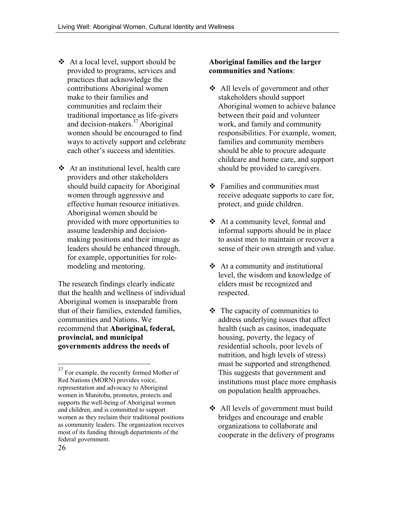- At a local level, support should be provided to programs, services and practices that acknowledge the contributions Aboriginal women make to their families and communities and reclaim their traditional importance as life-givers and decision-makers.37 Aboriginal women should be encouraged to find ways to actively support and celebrate each other's success and identities.
- $\triangleleft$  At an institutional level, health care providers and other stakeholders should build capacity for Aboriginal women through aggressive and effective human resource initiatives. Aboriginal women should be provided with more opportunities to assume leadership and decisionmaking positions and their image as leaders should be enhanced through, for example, opportunities for rolemodeling and mentoring.

The research findings clearly indicate that the health and wellness of individual Aboriginal women is inseparable from that of their families, extended families, communities and Nations. We recommend that **Aboriginal, federal, provincial, and municipal governments address the needs of**

### **Aboriginal families and the larger communities and Nations**:

- **❖** All levels of government and other stakeholders should support Aboriginal women to achieve balance between their paid and volunteer work, and family and community responsibilities. For example, women, families and community members should be able to procure adequate childcare and home care, and support should be provided to caregivers.
- Families and communities must receive adequate supports to care for, protect, and guide children.
- At a community level, formal and informal supports should be in place to assist men to maintain or recover a sense of their own strength and value.
- $\triangleleft$  At a community and institutional level, the wisdom and knowledge of elders must be recognized and respected.
- $\triangleleft$  The capacity of communities to address underlying issues that affect health (such as casinos, inadequate housing, poverty, the legacy of residential schools, poor levels of nutrition, and high levels of stress) must be supported and strengthened. This suggests that government and institutions must place more emphasis on population health approaches.
- **❖** All levels of government must build bridges and encourage and enable organizations to collaborate and cooperate in the delivery of programs

<sup>&</sup>lt;sup>37</sup> For example, the recently formed Mother of Red Nations (MORN) provides voice, representation and advocacy to Aboriginal women in Manitoba, promotes, protects and supports the well-being of Aboriginal women and children, and is committed to support women as they reclaim their traditional positions as community leaders. The organization receives most of its funding through departments of the federal government.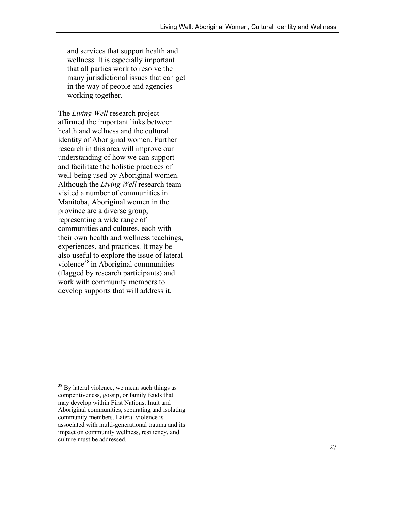and services that support health and wellness. It is especially important that all parties work to resolve the many jurisdictional issues that can get in the way of people and agencies working together.

The *Living Well* research project affirmed the important links between health and wellness and the cultural identity of Aboriginal women. Further research in this area will improve our understanding of how we can support and facilitate the holistic practices of well-being used by Aboriginal women. Although the *Living Well* research team visited a number of communities in Manitoba, Aboriginal women in the province are a diverse group, representing a wide range of communities and cultures, each with their own health and wellness teachings, experiences, and practices. It may be also useful to explore the issue of lateral violence<sup>38</sup> in Aboriginal communities (flagged by research participants) and work with community members to develop supports that will address it.

<sup>&</sup>lt;sup>38</sup> By lateral violence, we mean such things as competitiveness, gossip, or family feuds that may develop within First Nations, Inuit and Aboriginal communities, separating and isolating community members. Lateral violence is associated with multi-generational trauma and its impact on community wellness, resiliency, and culture must be addressed.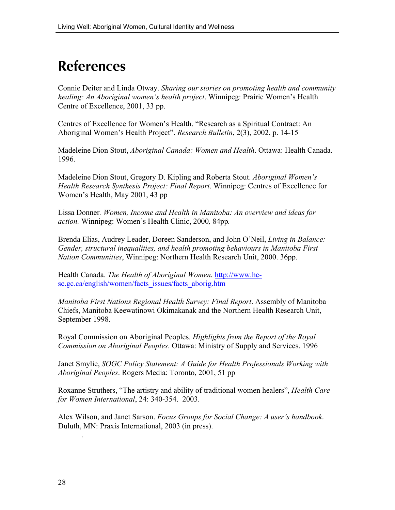## **References**

Connie Deiter and Linda Otway. *Sharing our stories on promoting health and community healing: An Aboriginal women's health project*. Winnipeg: Prairie Women's Health Centre of Excellence, 2001, 33 pp.

Centres of Excellence for Women's Health. "Research as a Spiritual Contract: An Aboriginal Women's Health Project". *Research Bulletin*, 2(3), 2002, p. 14-15

Madeleine Dion Stout, *Aboriginal Canada: Women and Health*. Ottawa: Health Canada. 1996.

Madeleine Dion Stout, Gregory D. Kipling and Roberta Stout. *Aboriginal Women's Health Research Synthesis Project: Final Report*. Winnipeg: Centres of Excellence for Women's Health, May 2001, 43 pp

Lissa Donner*. Women, Income and Health in Manitoba: An overview and ideas for action.* Winnipeg: Women's Health Clinic, 2000*,* 84pp*.*

Brenda Elias, Audrey Leader, Doreen Sanderson, and John O'Neil, *Living in Balance: Gender, structural inequalities, and health promoting behaviours in Manitoba First Nation Communities*, Winnipeg: Northern Health Research Unit, 2000. 36pp.

Health Canada. *The Health of Aboriginal Women.* http://www.hcsc.gc.ca/english/women/facts\_issues/facts\_aborig.htm

*Manitoba First Nations Regional Health Survey: Final Report*. Assembly of Manitoba Chiefs, Manitoba Keewatinowi Okimakanak and the Northern Health Research Unit, September 1998.

Royal Commission on Aboriginal Peoples. *Highlights from the Report of the Royal Commission on Aboriginal Peoples*. Ottawa: Ministry of Supply and Services. 1996

Janet Smylie, *SOGC Policy Statement: A Guide for Health Professionals Working with Aboriginal Peoples*. Rogers Media: Toronto, 2001, 51 pp

Roxanne Struthers, "The artistry and ability of traditional women healers", *Health Care for Women International*, 24: 340-354. 2003.

Alex Wilson, and Janet Sarson. *Focus Groups for Social Change: A user's handbook*. Duluth, MN: Praxis International, 2003 (in press).

.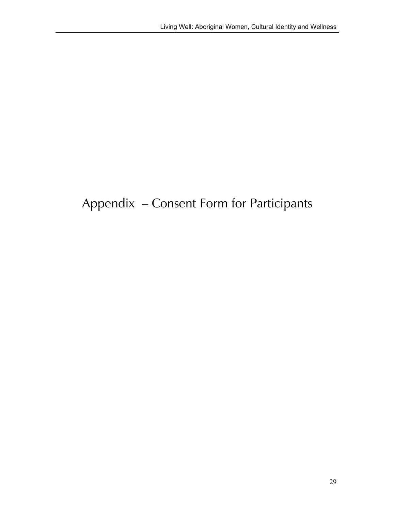## Appendix – Consent Form for Participants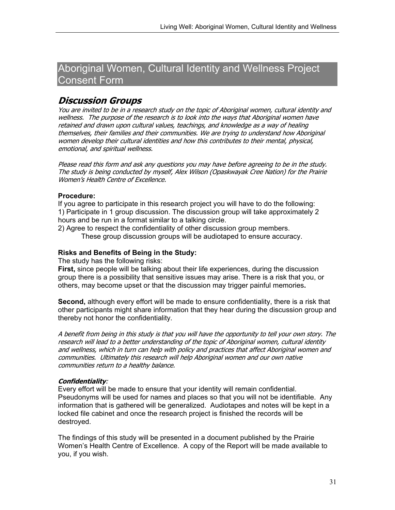### Aboriginal Women, Cultural Identity and Wellness Project Consent Form

### **Discussion Groups**

You are invited to be in a research study on the topic of Aboriginal women, cultural identity and wellness. The purpose of the research is to look into the ways that Aboriginal women have retained and drawn upon cultural values, teachings, and knowledge as a way of healing themselves, their families and their communities. We are trying to understand how Aboriginal women develop their cultural identities and how this contributes to their mental, physical, emotional, and spiritual wellness.

Please read this form and ask any questions you may have before agreeing to be in the study. The study is being conducted by myself, Alex Wilson (Opaskwayak Cree Nation) for the Prairie Women's Health Centre of Excellence.

#### **Procedure:**

If you agree to participate in this research project you will have to do the following: 1) Participate in 1 group discussion. The discussion group will take approximately 2 hours and be run in a format similar to a talking circle.

2) Agree to respect the confidentiality of other discussion group members.

These group discussion groups will be audiotaped to ensure accuracy.

#### **Risks and Benefits of Being in the Study:**

The study has the following risks:

**First,** since people will be talking about their life experiences, during the discussion group there is a possibility that sensitive issues may arise. There is a risk that you, or others, may become upset or that the discussion may trigger painful memories**.**

**Second,** although every effort will be made to ensure confidentiality, there is a risk that other participants might share information that they hear during the discussion group and thereby not honor the confidentiality.

A benefit from being in this study is that you will have the opportunity to tell your own story. The research will lead to a better understanding of the topic of Aboriginal women, cultural identity and wellness, which in turn can help with policy and practices that affect Aboriginal women and communities. Ultimately this research will help Aboriginal women and our own native communities return to a healthy balance.

#### **Confidentiality**:

Every effort will be made to ensure that your identity will remain confidential. Pseudonyms will be used for names and places so that you will not be identifiable. Any information that is gathered will be generalized. Audiotapes and notes will be kept in a locked file cabinet and once the research project is finished the records will be destroyed.

The findings of this study will be presented in a document published by the Prairie Women's Health Centre of Excellence. A copy of the Report will be made available to you, if you wish.